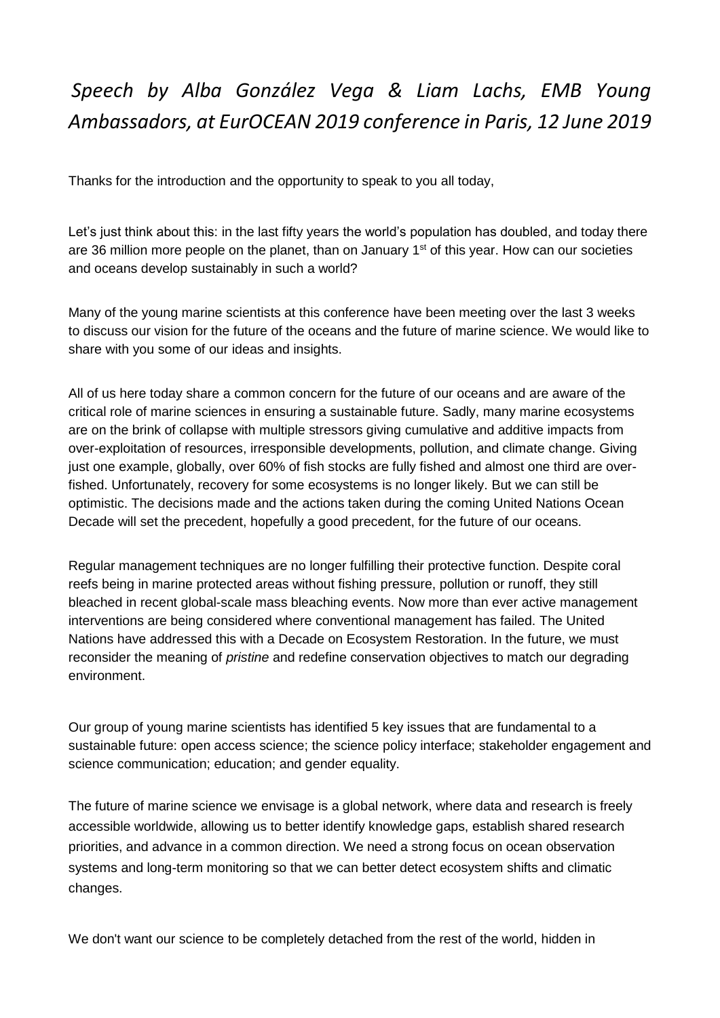## *Speech by Alba González Vega & Liam Lachs, EMB Young Ambassadors, at EurOCEAN 2019 conference in Paris, 12 June 2019*

Thanks for the introduction and the opportunity to speak to you all today,

Let's just think about this: in the last fifty years the world's population has doubled, and today there are 36 million more people on the planet, than on January  $1<sup>st</sup>$  of this year. How can our societies and oceans develop sustainably in such a world?

Many of the young marine scientists at this conference have been meeting over the last 3 weeks to discuss our vision for the future of the oceans and the future of marine science. We would like to share with you some of our ideas and insights.

All of us here today share a common concern for the future of our oceans and are aware of the critical role of marine sciences in ensuring a sustainable future. Sadly, many marine ecosystems are on the brink of collapse with multiple stressors giving cumulative and additive impacts from over-exploitation of resources, irresponsible developments, pollution, and climate change. Giving just one example, globally, over 60% of fish stocks are fully fished and almost one third are overfished. Unfortunately, recovery for some ecosystems is no longer likely. But we can still be optimistic. The decisions made and the actions taken during the coming United Nations Ocean Decade will set the precedent, hopefully a good precedent, for the future of our oceans.

Regular management techniques are no longer fulfilling their protective function. Despite coral reefs being in marine protected areas without fishing pressure, pollution or runoff, they still bleached in recent global-scale mass bleaching events. Now more than ever active management interventions are being considered where conventional management has failed. The United Nations have addressed this with a Decade on Ecosystem Restoration. In the future, we must reconsider the meaning of *pristine* and redefine conservation objectives to match our degrading environment.

Our group of young marine scientists has identified 5 key issues that are fundamental to a sustainable future: open access science; the science policy interface; stakeholder engagement and science communication; education; and gender equality.

The future of marine science we envisage is a global network, where data and research is freely accessible worldwide, allowing us to better identify knowledge gaps, establish shared research priorities, and advance in a common direction. We need a strong focus on ocean observation systems and long-term monitoring so that we can better detect ecosystem shifts and climatic changes.

We don't want our science to be completely detached from the rest of the world, hidden in